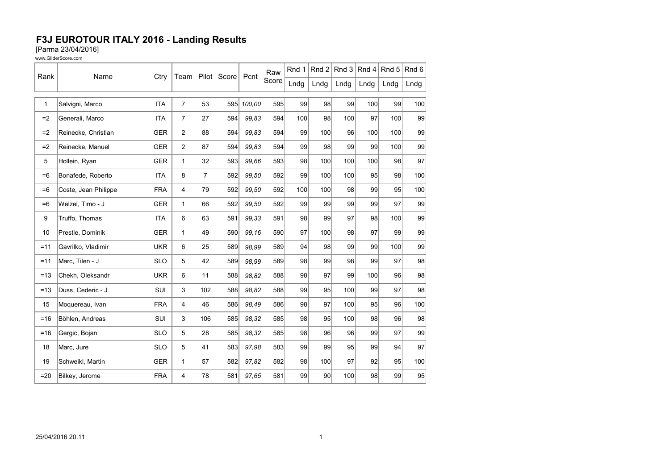## F3J EUROTOUR ITALY 2016 - Landing Results [Parma 23/04/2016]

| www.GliderScore.com |
|---------------------|
|---------------------|

| Rank         | Name                 | Ctry       | Team           | Pilot          | Score | Pcnt   | Raw<br>Score | Rnd 1 | Rnd 2           | Rnd $3$ | Rnd 4 | Rnd 5 | Rnd 6 |
|--------------|----------------------|------------|----------------|----------------|-------|--------|--------------|-------|-----------------|---------|-------|-------|-------|
|              |                      |            |                |                |       |        |              | Lndg  | Lndg            | Lndg    | Lndg  | Lndg  | Lndg  |
| $\mathbf{1}$ | Salvigni, Marco      | <b>ITA</b> | $\overline{7}$ | 53             | 595   | 100,00 | 595          | 99    | 98              | 99      | 100   | 99    | 100   |
|              |                      |            |                |                |       |        |              |       |                 |         |       |       |       |
| $=2$         | Generali, Marco      | <b>ITA</b> | $\overline{7}$ | 27             | 594   | 99.83  | 594          | 100   | 98              | 100     | 97    | 100   | 99    |
| $=2$         | Reinecke, Christian  | <b>GER</b> | $\overline{2}$ | 88             | 594   | 99,83  | 594          | 99    | 100             | 96      | 100   | 100   | 99    |
| $=2$         | Reinecke, Manuel     | <b>GER</b> | $\overline{2}$ | 87             | 594   | 99,83  | 594          | 99    | 98              | 99      | 99    | 100   | 99    |
| 5            | Hollein, Ryan        | <b>GER</b> | $\mathbf{1}$   | 32             | 593   | 99.66  | 593          | 98    | 100             | 100     | 100   | 98    | 97    |
| $=6$         | Bonafede, Roberto    | <b>ITA</b> | 8              | $\overline{7}$ | 592   | 99.50  | 592          | 99    | 100             | 100     | 95    | 98    | 100   |
| $=6$         | Coste, Jean Philippe | <b>FRA</b> | 4              | 79             | 592   | 99,50  | 592          | 100   | 100             | 98      | 99    | 95    | 100   |
| $=6$         | Welzel, Timo - J     | <b>GER</b> | 1              | 66             | 592   | 99,50  | 592          | 99    | 99              | 99      | 99    | 97    | 99    |
| 9            | Truffo, Thomas       | <b>ITA</b> | 6              | 63             | 591   | 99,33  | 591          | 98    | 99              | 97      | 98    | 100   | 99    |
| 10           | Prestle, Dominik     | <b>GER</b> | $\mathbf{1}$   | 49             | 590   | 99,16  | 590          | 97    | 100             | 98      | 97    | 99    | 99    |
| $=11$        | Gavrilko, Vladimir   | <b>UKR</b> | 6              | 25             | 589   | 98,99  | 589          | 94    | 98              | 99      | 99    | 100   | 99    |
| $=11$        | Marc, Tilen - J      | <b>SLO</b> | 5              | 42             | 589   | 98.99  | 589          | 98    | 99              | 98      | 99    | 97    | 98    |
| $=13$        | Chekh, Oleksandr     | <b>UKR</b> | 6              | 11             | 588   | 98,82  | 588          | 98    | 97              | 99      | 100   | 96    | 98    |
| $=13$        | Duss, Cederic - J    | SUI        | 3              | 102            | 588   | 98.82  | 588          | 99    | 95              | 100     | 99    | 97    | 98    |
| 15           | Moquereau, Ivan      | <b>FRA</b> | 4              | 46             | 586   | 98,49  | 586          | 98    | 97              | 100     | 95    | 96    | 100   |
| $= 16$       | Böhlen, Andreas      | SUI        | 3              | 106            | 585   | 98,32  | 585          | 98    | 95              | 100     | 98    | 96    | 98    |
| $=16$        | Gergic, Bojan        | <b>SLO</b> | 5              | 28             | 585   | 98,32  | 585          | 98    | 96              | 96      | 99    | 97    | 99    |
| 18           | Marc, Jure           | <b>SLO</b> | 5              | 41             | 583   | 97,98  | 583          | 99    | 99              | 95      | 99    | 94    | 97    |
| 19           | Schweikl, Martin     | <b>GER</b> | $\mathbf{1}$   | 57             | 582   | 97,82  | 582          | 98    | 100             | 97      | 92    | 95    | 100   |
| $=20$        | Bilkey, Jerome       | <b>FRA</b> | 4              | 78             | 581   | 97,65  | 581          | 99    | 90 <sub>0</sub> | 100     | 98    | 99    | 95    |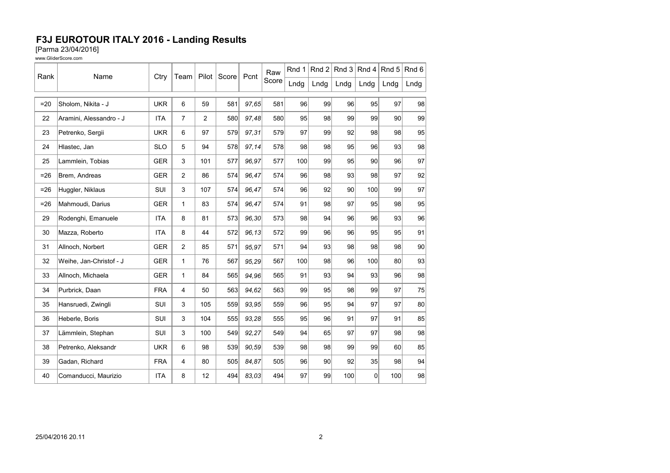## F3J EUROTOUR ITALY 2016 - Landing Results

[Parma 23/04/2016]

www.GliderScore.com

| Rank   | Name                    |            |                |       |       | Pcnt   | Raw<br>Score | Rnd 1 | Rnd $2 $ | Rnd $3$         | Rnd 4    | Rnd 5 | Rnd 6 |
|--------|-------------------------|------------|----------------|-------|-------|--------|--------------|-------|----------|-----------------|----------|-------|-------|
|        |                         | Ctry       | Team           | Pilot | Score |        |              | Lndg  | Lndg     | Lndg            | Lndg     | Lndg  | Lndg  |
| $=20$  | Sholom, Nikita - J      | <b>UKR</b> | 6              | 59    | 581   | 97,65  | 581          | 96    | 99       | 96              | 95       | 97    | 98    |
| 22     | Aramini, Alessandro - J | <b>ITA</b> | $\overline{7}$ | 2     | 580   | 97,48  | 580          | 95    | 98       | 99              | 99       | 90    | 99    |
| 23     | Petrenko, Sergii        | <b>UKR</b> | 6              | 97    | 579   | 97,31  | 579          | 97    | 99       | 92              | 98       | 98    | 95    |
| 24     | Hlastec, Jan            | <b>SLO</b> | 5              | 94    | 578   | 97,14  | 578          | 98    | 98       | 95              | 96       | 93    | 98    |
| 25     | Lammlein, Tobias        | <b>GER</b> | 3              | 101   | 577   | 96,97  | 577          | 100   | 99       | 95              | 90       | 96    | 97    |
| $= 26$ | Brem, Andreas           | <b>GER</b> | $\overline{2}$ | 86    | 574   | 96,47  | 574          | 96    | 98       | 93              | 98       | 97    | 92    |
| $= 26$ | Huggler, Niklaus        | SUI        | 3              | 107   | 574   | 96,47  | 574          | 96    | 92       | 90 <sub>0</sub> | 100      | 99    | 97    |
| $= 26$ | Mahmoudi, Darius        | <b>GER</b> | $\mathbf{1}$   | 83    | 574   | 96,47  | 574          | 91    | 98       | 97              | 95       | 98    | 95    |
| 29     | Rodenghi, Emanuele      | <b>ITA</b> | 8              | 81    | 573   | 96,30  | 573          | 98    | 94       | 96              | 96       | 93    | 96    |
| 30     | Mazza, Roberto          | <b>ITA</b> | 8              | 44    | 572   | 96, 13 | 572          | 99    | 96       | 96              | 95       | 95    | 91    |
| 31     | Allnoch, Norbert        | <b>GER</b> | 2              | 85    | 571   | 95,97  | 571          | 94    | 93       | 98              | 98       | 98    | 90    |
| 32     | Weihe, Jan-Christof - J | <b>GER</b> | $\mathbf{1}$   | 76    | 567   | 95,29  | 567          | 100   | 98       | 96              | 100      | 80    | 93    |
| 33     | Allnoch, Michaela       | <b>GER</b> | $\mathbf{1}$   | 84    | 565   | 94,96  | 565          | 91    | 93       | 94              | 93       | 96    | 98    |
| 34     | Purbrick, Daan          | <b>FRA</b> | 4              | 50    | 563   | 94.62  | 563          | 99    | 95       | 98              | 99       | 97    | 75    |
| 35     | Hansruedi, Zwingli      | SUI        | 3              | 105   | 559   | 93,95  | 559          | 96    | 95       | 94              | 97       | 97    | 80    |
| 36     | Heberle, Boris          | SUI        | 3              | 104   | 555   | 93,28  | 555          | 95    | 96       | 91              | 97       | 91    | 85    |
| 37     | Lämmlein, Stephan       | SUI        | 3              | 100   | 549   | 92,27  | 549          | 94    | 65       | 97              | 97       | 98    | 98    |
| 38     | Petrenko, Aleksandr     | <b>UKR</b> | 6              | 98    | 539   | 90.59  | 539          | 98    | 98       | 99              | 99       | 60    | 85    |
| 39     | Gadan, Richard          | <b>FRA</b> | 4              | 80    | 505   | 84,87  | 505          | 96    | 90       | 92              | 35       | 98    | 94    |
| 40     | Comanducci, Maurizio    | <b>ITA</b> | 8              | 12    | 494   | 83,03  | 494          | 97    | 99       | 100             | $\Omega$ | 100   | 98    |